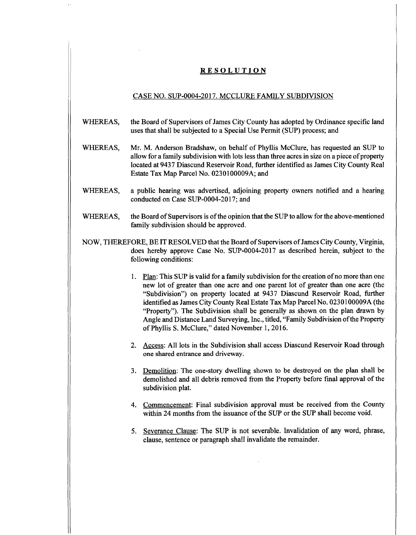## **RESOLUTION**

## CASE NO. SUP-0004-2017. MCCLURE FAMILY SUBDIVISION

- the Board of Supervisors of James City County has adopted by Ordinance specific land uses that shall be subjected to a Special Use Permit (SUP) process; and WHEREAS,
- Mr. M. Anderson Bradshaw, on behalf of Phyllis McClure, has requested an SUP to allow for a family subdivision with lots less than three acres in size on a piece of property located at 9437 Diascund Reservoir Road, further identified as James City County Real Estate Tax Map Parcel No. 0230100009A; and WHEREAS,
- a public hearing was advertised, adjoining property owners notified and a hearing conducted on Case SUP-0004-2017; and WHEREAS,
- the Board of Supervisors is of the opinion that the SUP to allow for the above-mentioned family subdivision should be approved. WHEREAS,
- NOW, THEREFORE, BE IT RESOLVED that the Board of Supervisors of James City County, Virginia, does hereby approve Case No. SUP-0004-2017 as described herein, subject to the following conditions:
	- 1. Plan: This SUP is valid for a family subdivision for the creation of no more than one new lot of greater than one acre and one parent lot of greater than one acre (the "Subdivision") on property located at 9437 Diascund Reservoir Road, further identified as James City County Real Estate Tax Map Parcel No. 0230100009A (the "Property"). The Subdivision shall be generally as shown on the plan drawn by Angle and Distance Land Surveying, Inc., titled, "Family Subdivision of the Property of Phyllis S. McClure," dated November 1, 2016.
	- Access: All lots in the Subdivision shall access Diascund Reservoir Road through **2.** one shared entrance and driveway.
	- Demolition: The one-story dwelling shown to be destroyed on the plan shall be **3.** demolished and all debris removed from the Property before final approval of the subdivision plat.
	- Commencement: Final subdivision approval must be received from the County **4.** within 24 months from the issuance of the SUP or the SUP shall become void.
	- 5. Severance Clause: The SUP is not severable. Invalidation of any word, phrase, clause, sentence or paragraph shall invalidate the remainder.